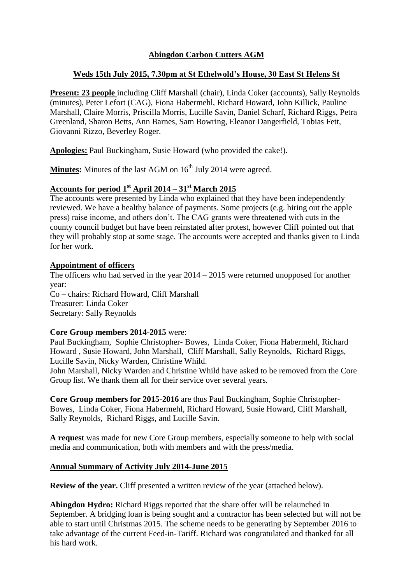# **Abingdon Carbon Cutters AGM**

#### **Weds 15th July 2015, 7.30pm at St Ethelwold's House, 30 East St Helens St**

**Present: 23 people** including Cliff Marshall (chair), Linda Coker (accounts), Sally Reynolds (minutes), Peter Lefort (CAG), Fiona Habermehl, Richard Howard, John Killick, Pauline Marshall, Claire Morris, Priscilla Morris, Lucille Savin, Daniel Scharf, Richard Riggs, Petra Greenland, Sharon Betts, Ann Barnes, Sam Bowring, Eleanor Dangerfield, Tobias Fett, Giovanni Rizzo, Beverley Roger.

**Apologies:** Paul Buckingham, Susie Howard (who provided the cake!).

**Minutes:** Minutes of the last AGM on  $16<sup>th</sup>$  July 2014 were agreed.

#### **Accounts for period 1st April 2014 – 31st March 2015**

The accounts were presented by Linda who explained that they have been independently reviewed. We have a healthy balance of payments. Some projects (e.g. hiring out the apple press) raise income, and others don't. The CAG grants were threatened with cuts in the county council budget but have been reinstated after protest, however Cliff pointed out that they will probably stop at some stage. The accounts were accepted and thanks given to Linda for her work.

#### **Appointment of officers**

The officers who had served in the year 2014 – 2015 were returned unopposed for another year: Co – chairs: Richard Howard, Cliff Marshall Treasurer: Linda Coker Secretary: Sally Reynolds

#### **Core Group members 2014-2015** were:

Paul Buckingham, Sophie Christopher- Bowes, Linda Coker, Fiona Habermehl, Richard Howard , Susie Howard, John Marshall, Cliff Marshall, Sally Reynolds, Richard Riggs, Lucille Savin, Nicky Warden, Christine Whild.

John Marshall, Nicky Warden and Christine Whild have asked to be removed from the Core Group list. We thank them all for their service over several years.

**Core Group members for 2015-2016** are thus Paul Buckingham, Sophie Christopher-Bowes, Linda Coker, Fiona Habermehl, Richard Howard, Susie Howard, Cliff Marshall, Sally Reynolds, Richard Riggs, and Lucille Savin.

**A request** was made for new Core Group members, especially someone to help with social media and communication, both with members and with the press/media.

#### **Annual Summary of Activity July 2014-June 2015**

**Review of the year.** Cliff presented a written review of the year (attached below).

**Abingdon Hydro:** Richard Riggs reported that the share offer will be relaunched in September. A bridging loan is being sought and a contractor has been selected but will not be able to start until Christmas 2015. The scheme needs to be generating by September 2016 to take advantage of the current Feed-in-Tariff. Richard was congratulated and thanked for all his hard work.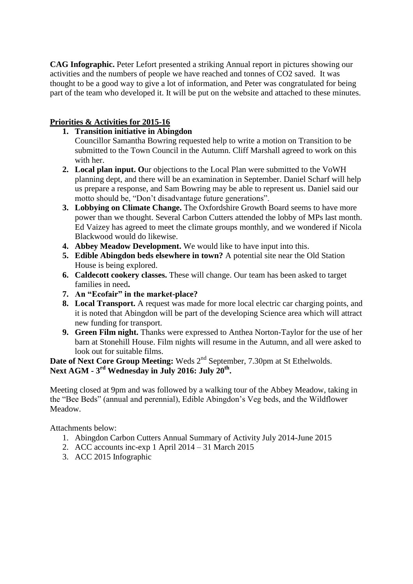**CAG Infographic.** Peter Lefort presented a striking Annual report in pictures showing our activities and the numbers of people we have reached and tonnes of CO2 saved. It was thought to be a good way to give a lot of information, and Peter was congratulated for being part of the team who developed it. It will be put on the website and attached to these minutes.

## **Priorities & Activities for 2015-16**

## **1. Transition initiative in Abingdon**

Councillor Samantha Bowring requested help to write a motion on Transition to be submitted to the Town Council in the Autumn. Cliff Marshall agreed to work on this with her.

- **2. Local plan input. O**ur objections to the Local Plan were submitted to the VoWH planning dept, and there will be an examination in September. Daniel Scharf will help us prepare a response, and Sam Bowring may be able to represent us. Daniel said our motto should be, "Don't disadvantage future generations".
- **3. Lobbying on Climate Change.** The Oxfordshire Growth Board seems to have more power than we thought. Several Carbon Cutters attended the lobby of MPs last month. Ed Vaizey has agreed to meet the climate groups monthly, and we wondered if Nicola Blackwood would do likewise.
- **4. Abbey Meadow Development.** We would like to have input into this.
- **5. Edible Abingdon beds elsewhere in town?** A potential site near the Old Station House is being explored.
- **6. Caldecott cookery classes.** These will change. Our team has been asked to target families in need**.**
- **7. An "Ecofair" in the market-place?**
- **8. Local Transport.** A request was made for more local electric car charging points, and it is noted that Abingdon will be part of the developing Science area which will attract new funding for transport.
- **9. Green Film night.** Thanks were expressed to Anthea Norton-Taylor for the use of her barn at Stonehill House. Film nights will resume in the Autumn, and all were asked to look out for suitable films.

**Date of Next Core Group Meeting:** Weds  $2^{nd}$  September, 7.30pm at St Ethelwolds. **Next AGM - 3 rd Wednesday in July 2016: July 20th .**

Meeting closed at 9pm and was followed by a walking tour of the Abbey Meadow, taking in the "Bee Beds" (annual and perennial), Edible Abingdon's Veg beds, and the Wildflower Meadow.

Attachments below:

- 1. Abingdon Carbon Cutters Annual Summary of Activity July 2014-June 2015
- 2. ACC accounts inc-exp 1 April 2014 31 March 2015
- 3. ACC 2015 Infographic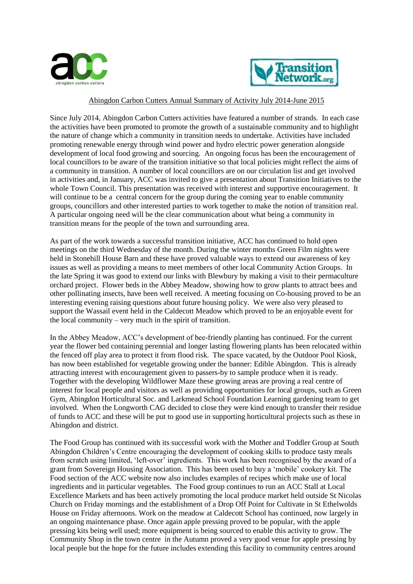



#### Abingdon Carbon Cutters Annual Summary of Activity July 2014-June 2015

Since July 2014, Abingdon Carbon Cutters activities have featured a number of strands. In each case the activities have been promoted to promote the growth of a sustainable community and to highlight the nature of change which a community in transition needs to undertake. Activities have included promoting renewable energy through wind power and hydro electric power generation alongside development of local food growing and sourcing. An ongoing focus has been the encouragement of local councillors to be aware of the transition initiative so that local policies might reflect the aims of a community in transition. A number of local councillors are on our circulation list and get involved in activities and, in January, ACC was invited to give a presentation about Transition Initiatives to the whole Town Council. This presentation was received with interest and supportive encouragement. It will continue to be a central concern for the group during the coming year to enable community groups, councillors and other interested parties to work together to make the notion of transition real. A particular ongoing need will be the clear communication about what being a community in transition means for the people of the town and surrounding area.

As part of the work towards a successful transition initiative, ACC has continued to hold open meetings on the third Wednesday of the month. During the winter months Green Film nights were held in Stonehill House Barn and these have proved valuable ways to extend our awareness of key issues as well as providing a means to meet members of other local Community Action Groups. In the late Spring it was good to extend our links with Blewbury by making a visit to their permaculture orchard project. Flower beds in the Abbey Meadow, showing how to grow plants to attract bees and other pollinating insects, have been well received. A meeting focusing on Co-housing proved to be an interesting evening raising questions about future housing policy. We were also very pleased to support the Wassail event held in the Caldecott Meadow which proved to be an enjoyable event for the local community – very much in the spirit of transition.

In the Abbey Meadow, ACC's development of bee-friendly planting has continued. For the current year the flower bed containing perennial and longer lasting flowering plants has been relocated within the fenced off play area to protect it from flood risk. The space vacated, by the Outdoor Pool Kiosk, has now been established for vegetable growing under the banner: Edible Abingdon. This is already attracting interest with encouragement given to passers-by to sample produce when it is ready. Together with the developing Wildflower Maze these growing areas are proving a real centre of interest for local people and visitors as well as providing opportunities for local groups, such as Green Gym, Abingdon Horticultural Soc. and Larkmead School Foundation Learning gardening team to get involved. When the Longworth CAG decided to close they were kind enough to transfer their residue of funds to ACC and these will be put to good use in supporting horticultural projects such as these in Abingdon and district.

The Food Group has continued with its successful work with the Mother and Toddler Group at South Abingdon Children's Centre encouraging the development of cooking skills to produce tasty meals from scratch using limited, 'left-over' ingredients. This work has been recognised by the award of a grant from Sovereign Housing Association. This has been used to buy a 'mobile' cookery kit. The Food section of the ACC website now also includes examples of recipes which make use of local ingredients and in particular vegetables. The Food group continues to run an ACC Stall at Local Excellence Markets and has been actively promoting the local produce market held outside St Nicolas Church on Friday mornings and the establishment of a Drop Off Point for Cultivate in St Ethelwolds House on Friday afternoons. Work on the meadow at Caldecott School has continued, now largely in an ongoing maintenance phase. Once again apple pressing proved to be popular, with the apple pressing kits being well used; more equipment is being sourced to enable this activity to grow. The Community Shop in the town centre in the Autumn proved a very good venue for apple pressing by local people but the hope for the future includes extending this facility to community centres around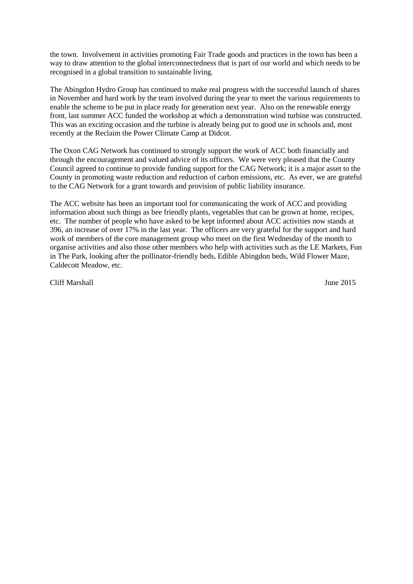the town. Involvement in activities promoting Fair Trade goods and practices in the town has been a way to draw attention to the global interconnectedness that is part of our world and which needs to be recognised in a global transition to sustainable living.

The Abingdon Hydro Group has continued to make real progress with the successful launch of shares in November and hard work by the team involved during the year to meet the various requirements to enable the scheme to be put in place ready for generation next year. Also on the renewable energy front, last summer ACC funded the workshop at which a demonstration wind turbine was constructed. This was an exciting occasion and the turbine is already being put to good use in schools and, most recently at the Reclaim the Power Climate Camp at Didcot.

The Oxon CAG Network has continued to strongly support the work of ACC both financially and through the encouragement and valued advice of its officers. We were very pleased that the County Council agreed to continue to provide funding support for the CAG Network; it is a major asset to the County in promoting waste reduction and reduction of carbon emissions, etc. As ever, we are grateful to the CAG Network for a grant towards and provision of public liability insurance.

The ACC website has been an important tool for communicating the work of ACC and providing information about such things as bee friendly plants, vegetables that can be grown at home, recipes, etc. The number of people who have asked to be kept informed about ACC activities now stands at 396, an increase of over 17% in the last year. The officers are very grateful for the support and hard work of members of the core management group who meet on the first Wednesday of the month to organise activities and also those other members who help with activities such as the LE Markets, Fun in The Park, looking after the pollinator-friendly beds, Edible Abingdon beds, Wild Flower Maze, Caldecott Meadow, etc.

Cliff Marshall June 2015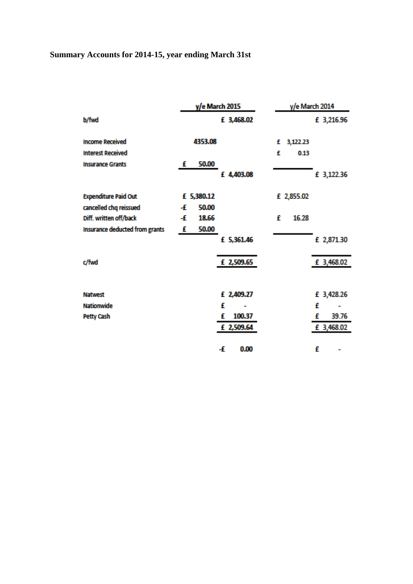# **Summary Accounts for 2014-15, year ending March 31st**

|                                | y/e March 2015 | y/e March 2014 |
|--------------------------------|----------------|----------------|
| b/fwd                          | £ 3,468.02     | £ 3,216.96     |
| <b>Income Received</b>         | 4353.08        | 3,122.23<br>£  |
| <b>Interest Received</b>       |                | £<br>0.13      |
| <b>Insurance Grants</b>        | 50.00<br>£     |                |
|                                | £ 4,403.08     | £ 3,122.36     |
| <b>Expenditure Paid Out</b>    | £ 5,380.12     | £ 2,855.02     |
| cancelled chq reissued         | 50.00<br>Æ     |                |
| Diff. written off/back         | 18.66<br>Æ     | £<br>16.28     |
| Insurance deducted from grants | 50.00<br>£     |                |
|                                | £ 5,361.46     | £ 2,871.30     |
| c/fwd                          | £ 2,509.65     | £ 3,468.02     |
|                                |                |                |
| <b>Natwest</b>                 | £ 2,409.27     | £ 3,428.26     |
| <b>Nationwide</b>              | £              | £<br>-         |
| <b>Petty Cash</b>              | 100.37<br>£    | 39.76<br>£     |
|                                | £ 2,509.64     | £ 3,468.02     |
|                                | -£<br>0.00     | £              |